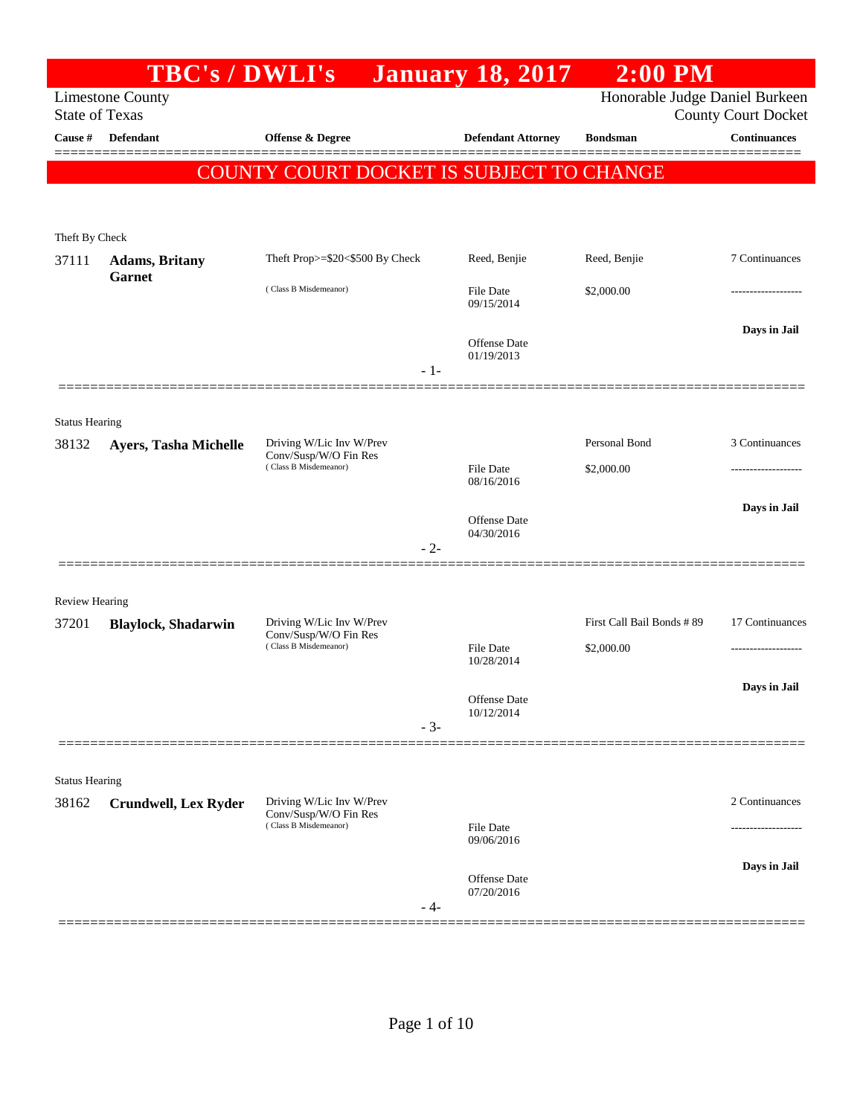| <b>Limestone County</b><br><b>State of Texas</b><br><b>Defendant</b><br>Cause #<br>Offense & Degree<br><b>Defendant Attorney</b><br><b>Bondsman</b><br>COUNTY COURT DOCKET IS SUBJECT TO CHANGE<br>Theft By Check<br>Theft Prop>=\$20<\$500 By Check<br>Reed, Benjie<br>Reed, Benjie<br>37111<br><b>Adams</b> , Britany<br><b>Garnet</b><br>(Class B Misdemeanor)<br>\$2,000.00<br><b>File Date</b><br>09/15/2014 | Honorable Judge Daniel Burkeen<br><b>County Court Docket</b><br><b>Continuances</b><br>======= |
|-------------------------------------------------------------------------------------------------------------------------------------------------------------------------------------------------------------------------------------------------------------------------------------------------------------------------------------------------------------------------------------------------------------------|------------------------------------------------------------------------------------------------|
|                                                                                                                                                                                                                                                                                                                                                                                                                   |                                                                                                |
|                                                                                                                                                                                                                                                                                                                                                                                                                   |                                                                                                |
|                                                                                                                                                                                                                                                                                                                                                                                                                   |                                                                                                |
|                                                                                                                                                                                                                                                                                                                                                                                                                   |                                                                                                |
|                                                                                                                                                                                                                                                                                                                                                                                                                   |                                                                                                |
|                                                                                                                                                                                                                                                                                                                                                                                                                   | 7 Continuances                                                                                 |
|                                                                                                                                                                                                                                                                                                                                                                                                                   |                                                                                                |
| <b>Offense</b> Date<br>01/19/2013<br>$-1-$                                                                                                                                                                                                                                                                                                                                                                        | Days in Jail                                                                                   |
|                                                                                                                                                                                                                                                                                                                                                                                                                   |                                                                                                |
| <b>Status Hearing</b><br>Personal Bond<br>Driving W/Lic Inv W/Prev                                                                                                                                                                                                                                                                                                                                                | 3 Continuances                                                                                 |
| 38132<br><b>Ayers, Tasha Michelle</b><br>Conv/Susp/W/O Fin Res<br>(Class B Misdemeanor)<br><b>File Date</b><br>\$2,000.00                                                                                                                                                                                                                                                                                         |                                                                                                |
| 08/16/2016                                                                                                                                                                                                                                                                                                                                                                                                        |                                                                                                |
| <b>Offense</b> Date<br>04/30/2016                                                                                                                                                                                                                                                                                                                                                                                 | Days in Jail                                                                                   |
| $-2-$                                                                                                                                                                                                                                                                                                                                                                                                             |                                                                                                |
|                                                                                                                                                                                                                                                                                                                                                                                                                   |                                                                                                |
| Review Hearing<br>Driving W/Lic Inv W/Prev<br>37201<br><b>Blaylock, Shadarwin</b>                                                                                                                                                                                                                                                                                                                                 | First Call Bail Bonds #89<br>17 Continuances                                                   |
| Conv/Susp/W/O Fin Res<br>(Class B Misdemeanor)<br><b>File Date</b><br>\$2,000.00<br>10/28/2014                                                                                                                                                                                                                                                                                                                    |                                                                                                |
|                                                                                                                                                                                                                                                                                                                                                                                                                   | Days in Jail                                                                                   |
| Offense Date<br>10/12/2014                                                                                                                                                                                                                                                                                                                                                                                        |                                                                                                |
| $-3-$                                                                                                                                                                                                                                                                                                                                                                                                             |                                                                                                |
| <b>Status Hearing</b>                                                                                                                                                                                                                                                                                                                                                                                             |                                                                                                |
| Driving W/Lic Inv W/Prev<br><b>Crundwell, Lex Ryder</b><br>38162                                                                                                                                                                                                                                                                                                                                                  | 2 Continuances                                                                                 |
| Conv/Susp/W/O Fin Res<br>(Class B Misdemeanor)<br><b>File Date</b><br>09/06/2016                                                                                                                                                                                                                                                                                                                                  |                                                                                                |
| Offense Date<br>07/20/2016<br>- 4-                                                                                                                                                                                                                                                                                                                                                                                | Days in Jail                                                                                   |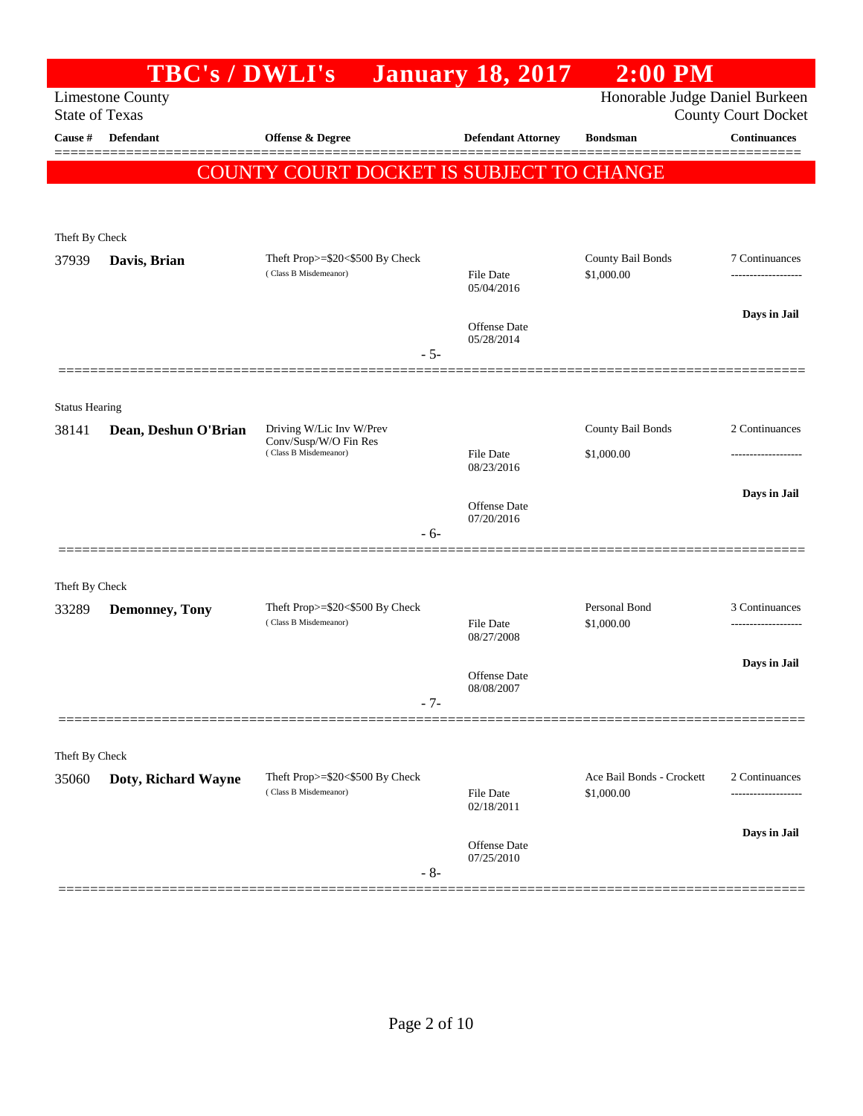|                       | <b>TBC's / DWLI's</b>   |                                                |       | <b>January 18, 2017</b>           | $2:00$ PM                      |                            |
|-----------------------|-------------------------|------------------------------------------------|-------|-----------------------------------|--------------------------------|----------------------------|
| <b>State of Texas</b> | <b>Limestone County</b> |                                                |       |                                   | Honorable Judge Daniel Burkeen | <b>County Court Docket</b> |
| Cause #               | <b>Defendant</b>        | Offense & Degree                               |       | <b>Defendant Attorney</b>         | <b>Bondsman</b>                | <b>Continuances</b>        |
|                       |                         | COUNTY COURT DOCKET IS SUBJECT TO CHANGE       |       |                                   |                                |                            |
|                       |                         |                                                |       |                                   |                                |                            |
| Theft By Check        |                         |                                                |       |                                   |                                |                            |
| 37939                 | Davis, Brian            | Theft Prop>=\$20<\$500 By Check                |       |                                   | County Bail Bonds              | 7 Continuances             |
|                       |                         | (Class B Misdemeanor)                          |       | File Date<br>05/04/2016           | \$1,000.00                     |                            |
|                       |                         |                                                |       |                                   |                                | Days in Jail               |
|                       |                         |                                                | $-5-$ | Offense Date<br>05/28/2014        |                                |                            |
|                       |                         |                                                |       |                                   |                                |                            |
| <b>Status Hearing</b> |                         |                                                |       |                                   |                                |                            |
| 38141                 | Dean, Deshun O'Brian    | Driving W/Lic Inv W/Prev                       |       |                                   | County Bail Bonds              | 2 Continuances             |
|                       |                         | Conv/Susp/W/O Fin Res<br>(Class B Misdemeanor) |       | <b>File Date</b><br>08/23/2016    | \$1,000.00                     |                            |
|                       |                         |                                                |       |                                   |                                | Days in Jail               |
|                       |                         |                                                |       | Offense Date<br>07/20/2016        |                                |                            |
|                       |                         |                                                | - 6-  |                                   |                                |                            |
| Theft By Check        |                         |                                                |       |                                   |                                |                            |
| 33289                 | <b>Demonney, Tony</b>   | Theft Prop>=\$20<\$500 By Check                |       |                                   | Personal Bond                  | 3 Continuances             |
|                       |                         | (Class B Misdemeanor)                          |       | <b>File Date</b><br>08/27/2008    | \$1,000.00                     |                            |
|                       |                         |                                                |       |                                   |                                | Days in Jail               |
|                       |                         |                                                |       | <b>Offense Date</b><br>08/08/2007 |                                |                            |
|                       |                         |                                                | $-7-$ |                                   |                                |                            |
| Theft By Check        |                         |                                                |       |                                   |                                |                            |
| 35060                 | Doty, Richard Wayne     | Theft Prop>=\$20<\$500 By Check                |       |                                   | Ace Bail Bonds - Crockett      | 2 Continuances             |
|                       |                         | (Class B Misdemeanor)                          |       | File Date<br>02/18/2011           | \$1,000.00                     |                            |
|                       |                         |                                                |       | <b>Offense Date</b>               |                                | Days in Jail               |
|                       |                         |                                                | $-8-$ | 07/25/2010                        |                                |                            |
|                       |                         |                                                |       |                                   |                                |                            |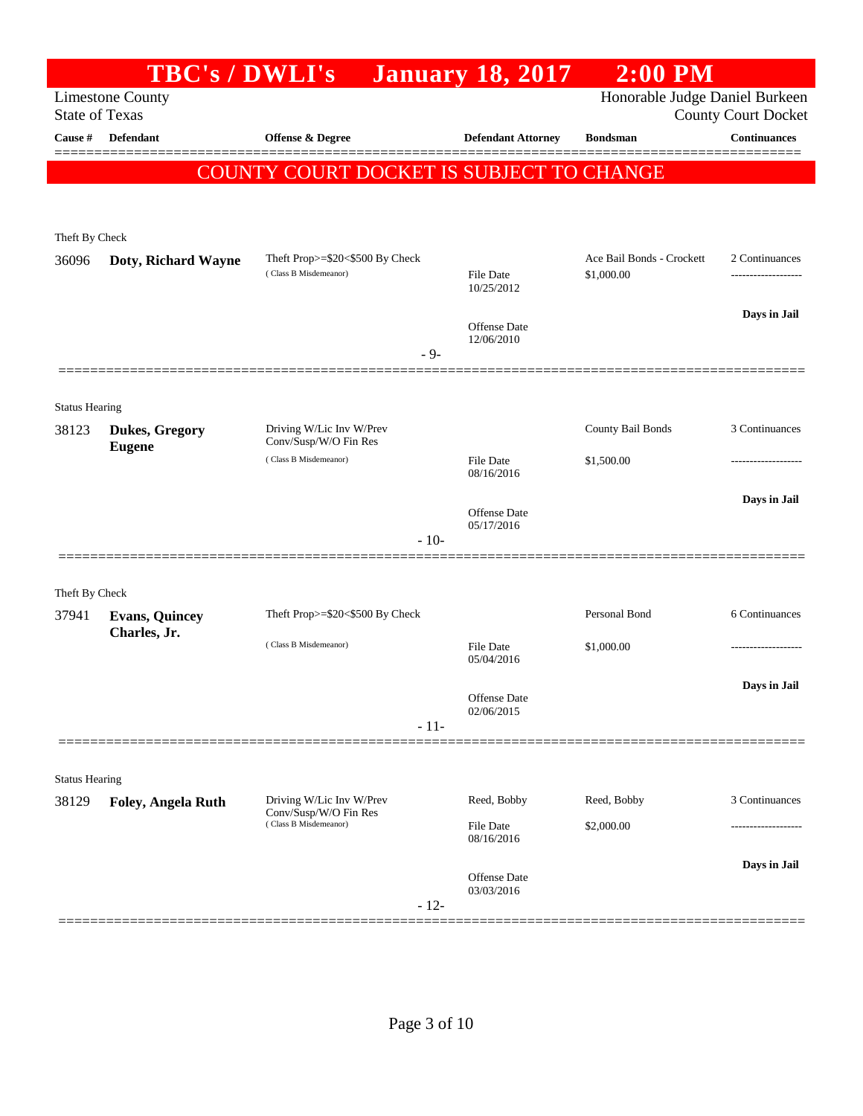|                       |                                        | TBC's / DWLI's                                           | <b>January 18, 2017</b>           | $2:00$ PM                                                    |                     |
|-----------------------|----------------------------------------|----------------------------------------------------------|-----------------------------------|--------------------------------------------------------------|---------------------|
| <b>State of Texas</b> | <b>Limestone County</b>                |                                                          |                                   | Honorable Judge Daniel Burkeen<br><b>County Court Docket</b> |                     |
| Cause #               | Defendant                              | Offense & Degree                                         | <b>Defendant Attorney</b>         | <b>Bondsman</b>                                              | Continuances        |
|                       |                                        | COUNTY COURT DOCKET IS SUBJECT TO CHANGE                 |                                   |                                                              |                     |
|                       |                                        |                                                          |                                   |                                                              |                     |
|                       |                                        |                                                          |                                   |                                                              |                     |
| Theft By Check        |                                        |                                                          |                                   | Ace Bail Bonds - Crockett                                    | 2 Continuances      |
| 36096                 | Doty, Richard Wayne                    | Theft Prop>=\$20<\$500 By Check<br>(Class B Misdemeanor) | File Date<br>10/25/2012           | \$1,000.00                                                   | ------------------- |
|                       |                                        |                                                          | Offense Date                      |                                                              | Days in Jail        |
|                       |                                        | $-9-$                                                    | 12/06/2010                        |                                                              |                     |
|                       |                                        |                                                          |                                   |                                                              |                     |
| <b>Status Hearing</b> |                                        |                                                          |                                   |                                                              |                     |
| 38123                 | <b>Dukes, Gregory</b><br><b>Eugene</b> | Driving W/Lic Inv W/Prev<br>Conv/Susp/W/O Fin Res        |                                   | County Bail Bonds                                            | 3 Continuances      |
|                       |                                        | (Class B Misdemeanor)                                    | <b>File Date</b><br>08/16/2016    | \$1,500.00                                                   |                     |
|                       |                                        |                                                          | <b>Offense</b> Date<br>05/17/2016 |                                                              | Days in Jail        |
|                       |                                        | $-10-$                                                   |                                   |                                                              |                     |
| Theft By Check        |                                        |                                                          |                                   |                                                              |                     |
| 37941                 | <b>Evans, Quincey</b>                  | Theft Prop>=\$20<\$500 By Check                          |                                   | Personal Bond                                                | 6 Continuances      |
|                       | Charles, Jr.                           | (Class B Misdemeanor)                                    | File Date<br>05/04/2016           | \$1,000.00                                                   |                     |
|                       |                                        |                                                          | Offense Date                      |                                                              | Days in Jail        |
|                       |                                        | $-11-$                                                   | 02/06/2015                        |                                                              |                     |
|                       |                                        |                                                          |                                   |                                                              |                     |
| <b>Status Hearing</b> |                                        |                                                          |                                   |                                                              |                     |
| 38129                 | Foley, Angela Ruth                     | Driving W/Lic Inv W/Prev                                 | Reed, Bobby                       | Reed, Bobby                                                  | 3 Continuances      |
|                       |                                        | Conv/Susp/W/O Fin Res<br>(Class B Misdemeanor)           | <b>File Date</b><br>08/16/2016    | \$2,000.00                                                   |                     |
|                       |                                        | $-12-$                                                   | Offense Date<br>03/03/2016        |                                                              | Days in Jail        |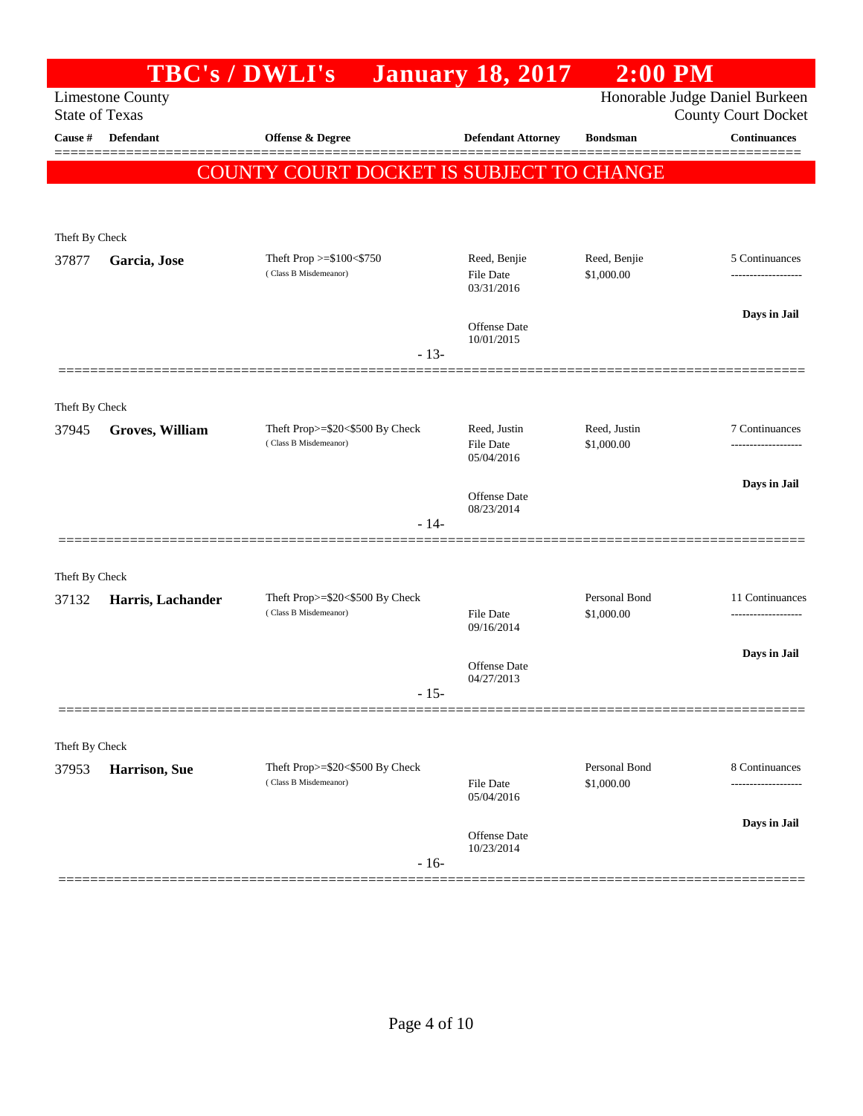|                         |                         | <b>TBC's / DWLI's</b>                                    | <b>January 18, 2017</b>          | $2:00$ PM                  |                                                              |
|-------------------------|-------------------------|----------------------------------------------------------|----------------------------------|----------------------------|--------------------------------------------------------------|
| <b>State of Texas</b>   | <b>Limestone County</b> |                                                          |                                  |                            | Honorable Judge Daniel Burkeen<br><b>County Court Docket</b> |
| Cause #                 | Defendant               | <b>Offense &amp; Degree</b>                              | <b>Defendant Attorney</b>        | <b>Bondsman</b>            | <b>Continuances</b>                                          |
|                         |                         | COUNTY COURT DOCKET IS SUBJECT TO CHANGE                 |                                  |                            |                                                              |
|                         |                         |                                                          |                                  |                            |                                                              |
|                         |                         |                                                          |                                  |                            |                                                              |
| Theft By Check<br>37877 | Garcia, Jose            | Theft Prop >=\$100<\$750                                 | Reed, Benjie                     | Reed, Benjie               | 5 Continuances                                               |
|                         |                         | (Class B Misdemeanor)                                    | <b>File Date</b><br>03/31/2016   | \$1,000.00                 |                                                              |
|                         |                         |                                                          |                                  |                            |                                                              |
|                         |                         |                                                          | Offense Date<br>10/01/2015       |                            | Days in Jail                                                 |
|                         |                         | $-13-$                                                   |                                  |                            |                                                              |
|                         |                         |                                                          |                                  |                            |                                                              |
| Theft By Check          |                         |                                                          |                                  |                            |                                                              |
| 37945                   | Groves, William         | Theft Prop>=\$20<\$500 By Check<br>(Class B Misdemeanor) | Reed, Justin<br><b>File Date</b> | Reed, Justin<br>\$1,000.00 | 7 Continuances                                               |
|                         |                         |                                                          | 05/04/2016                       |                            |                                                              |
|                         |                         |                                                          | <b>Offense</b> Date              |                            | Days in Jail                                                 |
|                         |                         | $-14-$                                                   | 08/23/2014                       |                            |                                                              |
|                         |                         |                                                          |                                  |                            |                                                              |
| Theft By Check          |                         |                                                          |                                  |                            |                                                              |
| 37132                   | Harris, Lachander       | Theft Prop>=\$20<\$500 By Check<br>(Class B Misdemeanor) |                                  | Personal Bond              | 11 Continuances                                              |
|                         |                         |                                                          | File Date<br>09/16/2014          | \$1,000.00                 | -----------------                                            |
|                         |                         |                                                          | <b>Offense Date</b>              |                            | Days in Jail                                                 |
|                         |                         | $-15-$                                                   | 04/27/2013                       |                            |                                                              |
|                         |                         |                                                          |                                  |                            |                                                              |
| Theft By Check          |                         |                                                          |                                  |                            |                                                              |
| 37953                   | Harrison, Sue           | Theft Prop>=\$20<\$500 By Check                          |                                  | Personal Bond              | 8 Continuances                                               |
|                         |                         | (Class B Misdemeanor)                                    | <b>File Date</b><br>05/04/2016   | \$1,000.00                 |                                                              |
|                         |                         |                                                          |                                  |                            | Days in Jail                                                 |
|                         |                         |                                                          | Offense Date<br>10/23/2014       |                            |                                                              |
|                         |                         | $-16-$                                                   |                                  |                            |                                                              |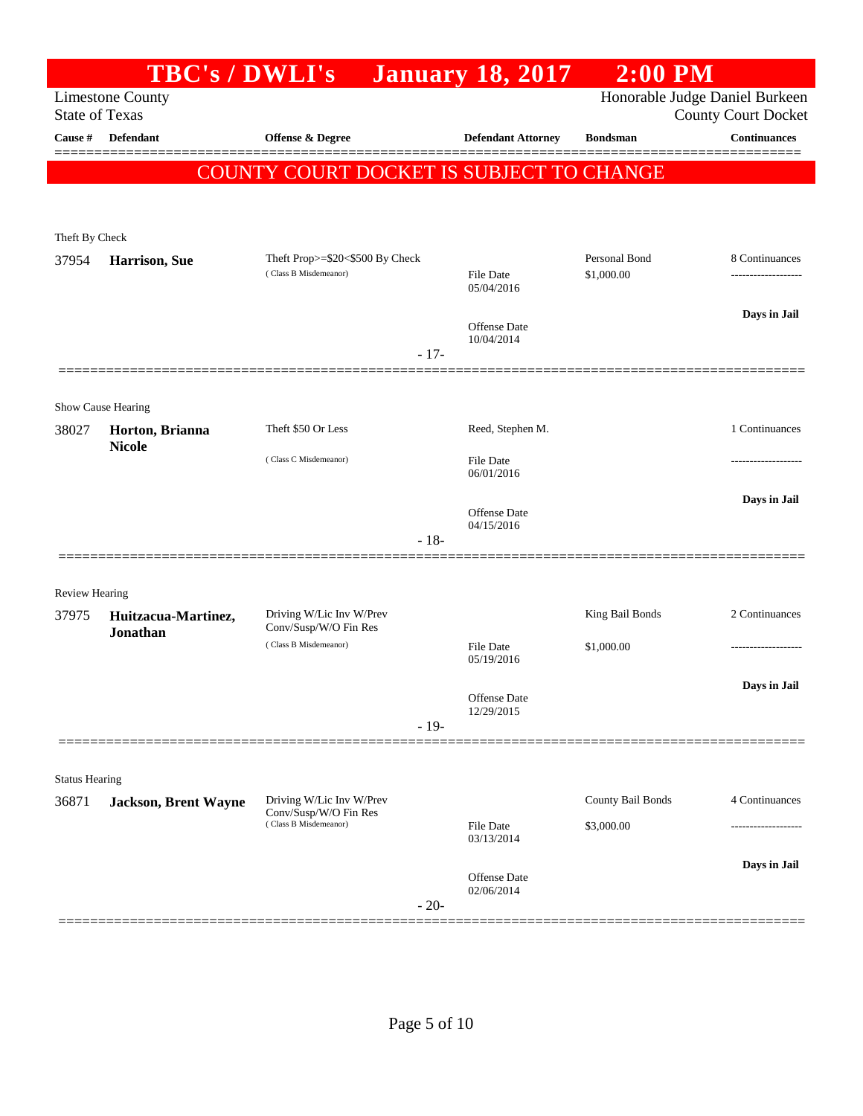|                                |                                  | TBC's / DWLI's                                    |        | <b>January 18, 2017</b>        | $2:00$ PM         |                                                              |
|--------------------------------|----------------------------------|---------------------------------------------------|--------|--------------------------------|-------------------|--------------------------------------------------------------|
| <b>State of Texas</b>          | <b>Limestone County</b>          |                                                   |        |                                |                   | Honorable Judge Daniel Burkeen<br><b>County Court Docket</b> |
| Cause #                        | Defendant                        | Offense & Degree                                  |        | <b>Defendant Attorney</b>      | <b>Bondsman</b>   | Continuances                                                 |
|                                |                                  | COUNTY COURT DOCKET IS SUBJECT TO CHANGE          |        |                                |                   |                                                              |
|                                |                                  |                                                   |        |                                |                   |                                                              |
|                                |                                  |                                                   |        |                                |                   |                                                              |
| Theft By Check<br>37954        | <b>Harrison</b> , Sue            | Theft Prop>=\$20<\$500 By Check                   |        |                                | Personal Bond     | 8 Continuances                                               |
|                                |                                  | (Class B Misdemeanor)                             |        | File Date<br>05/04/2016        | \$1,000.00        | ------------------                                           |
|                                |                                  |                                                   |        | Offense Date                   |                   | Days in Jail                                                 |
|                                |                                  |                                                   | $-17-$ | 10/04/2014                     |                   |                                                              |
|                                |                                  |                                                   |        |                                |                   |                                                              |
|                                | Show Cause Hearing               |                                                   |        |                                |                   |                                                              |
| 38027                          | Horton, Brianna<br><b>Nicole</b> | Theft \$50 Or Less                                |        | Reed, Stephen M.               |                   | 1 Continuances                                               |
|                                |                                  | (Class C Misdemeanor)                             |        | <b>File Date</b><br>06/01/2016 |                   |                                                              |
|                                |                                  |                                                   |        | <b>Offense</b> Date            |                   | Days in Jail                                                 |
|                                |                                  |                                                   | $-18-$ | 04/15/2016                     |                   |                                                              |
|                                |                                  |                                                   |        |                                |                   |                                                              |
| <b>Review Hearing</b>          |                                  |                                                   |        |                                |                   |                                                              |
| 37975                          | Huitzacua-Martinez,<br>Jonathan  | Driving W/Lic Inv W/Prev<br>Conv/Susp/W/O Fin Res |        |                                | King Bail Bonds   | 2 Continuances                                               |
|                                |                                  | (Class B Misdemeanor)                             |        | File Date<br>05/19/2016        | \$1,000.00        |                                                              |
|                                |                                  |                                                   |        |                                |                   | Days in Jail                                                 |
|                                |                                  |                                                   |        | Offense Date<br>12/29/2015     |                   |                                                              |
|                                |                                  |                                                   | $-19-$ |                                |                   |                                                              |
|                                |                                  |                                                   |        |                                |                   |                                                              |
| <b>Status Hearing</b><br>36871 | <b>Jackson, Brent Wayne</b>      | Driving W/Lic Inv W/Prev                          |        |                                | County Bail Bonds | 4 Continuances                                               |
|                                |                                  | Conv/Susp/W/O Fin Res<br>(Class B Misdemeanor)    |        | <b>File Date</b><br>03/13/2014 | \$3,000.00        |                                                              |
|                                |                                  |                                                   |        | Offense Date                   |                   | Days in Jail                                                 |
|                                |                                  |                                                   | $-20-$ | 02/06/2014                     |                   |                                                              |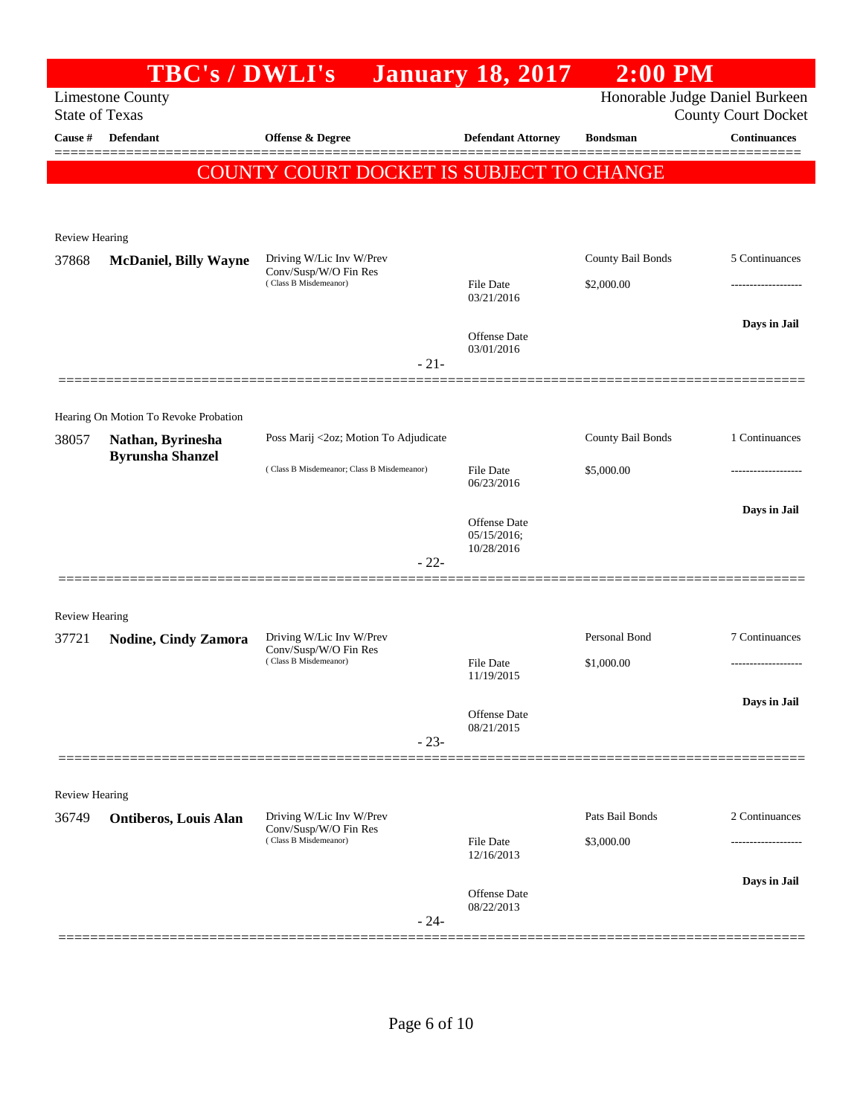|                                | <b>TBC's / DWLI's</b>                 |                                                   | <b>January 18, 2017</b>                   | $2:00$ PM         |                                                              |
|--------------------------------|---------------------------------------|---------------------------------------------------|-------------------------------------------|-------------------|--------------------------------------------------------------|
| <b>State of Texas</b>          | <b>Limestone County</b>               |                                                   |                                           |                   | Honorable Judge Daniel Burkeen<br><b>County Court Docket</b> |
| Cause #                        | Defendant                             | Offense & Degree                                  | <b>Defendant Attorney</b>                 | <b>Bondsman</b>   | <b>Continuances</b>                                          |
|                                |                                       |                                                   |                                           |                   |                                                              |
|                                |                                       | COUNTY COURT DOCKET IS SUBJECT TO CHANGE          |                                           |                   |                                                              |
|                                |                                       |                                                   |                                           |                   |                                                              |
| <b>Review Hearing</b>          |                                       |                                                   |                                           |                   |                                                              |
| 37868                          | <b>McDaniel, Billy Wayne</b>          | Driving W/Lic Inv W/Prev<br>Conv/Susp/W/O Fin Res |                                           | County Bail Bonds | 5 Continuances                                               |
|                                |                                       | (Class B Misdemeanor)                             | <b>File Date</b><br>03/21/2016            | \$2,000.00        |                                                              |
|                                |                                       |                                                   | Offense Date                              |                   | Days in Jail                                                 |
|                                |                                       | $-21-$                                            | 03/01/2016                                |                   |                                                              |
|                                |                                       |                                                   |                                           |                   |                                                              |
|                                | Hearing On Motion To Revoke Probation |                                                   |                                           |                   |                                                              |
| 38057                          | Nathan, Byrinesha                     | Poss Marij <2oz; Motion To Adjudicate             |                                           | County Bail Bonds | 1 Continuances                                               |
|                                | <b>Byrunsha Shanzel</b>               | (Class B Misdemeanor; Class B Misdemeanor)        | File Date<br>06/23/2016                   | \$5,000.00        |                                                              |
|                                |                                       |                                                   |                                           |                   | Days in Jail                                                 |
|                                |                                       |                                                   | Offense Date<br>05/15/2016;<br>10/28/2016 |                   |                                                              |
|                                |                                       | $-22-$                                            |                                           |                   |                                                              |
|                                |                                       |                                                   |                                           |                   |                                                              |
| <b>Review Hearing</b><br>37721 |                                       | Driving W/Lic Inv W/Prev                          |                                           | Personal Bond     | 7 Continuances                                               |
|                                | Nodine, Cindy Zamora                  | Conv/Susp/W/O Fin Res<br>(Class B Misdemeanor)    | File Date                                 | \$1,000.00        |                                                              |
|                                |                                       |                                                   | 11/19/2015                                |                   |                                                              |
|                                |                                       |                                                   | Offense Date                              |                   | Days in Jail                                                 |
|                                |                                       | $-23-$                                            | 08/21/2015                                |                   |                                                              |
|                                |                                       |                                                   |                                           |                   |                                                              |
| Review Hearing                 |                                       |                                                   |                                           |                   |                                                              |
| 36749                          | <b>Ontiberos, Louis Alan</b>          | Driving W/Lic Inv W/Prev                          |                                           | Pats Bail Bonds   | 2 Continuances                                               |
|                                |                                       | Conv/Susp/W/O Fin Res<br>(Class B Misdemeanor)    | <b>File Date</b><br>12/16/2013            | \$3,000.00        |                                                              |
|                                |                                       |                                                   |                                           |                   | Days in Jail                                                 |
|                                |                                       | $-24-$                                            | Offense Date<br>08/22/2013                |                   |                                                              |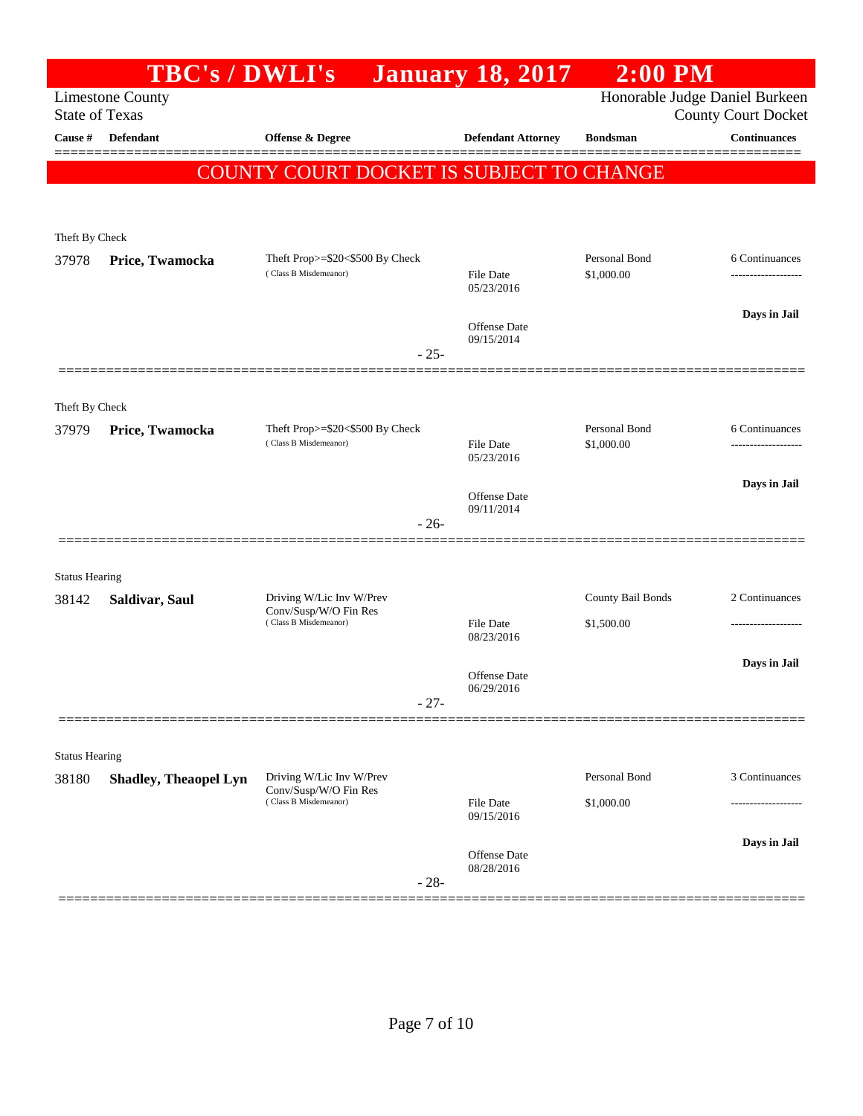|                       | <b>TBC's / DWLI's</b>        |                                                          | <b>January 18, 2017</b>        | $2:00$ PM                   |                                                              |
|-----------------------|------------------------------|----------------------------------------------------------|--------------------------------|-----------------------------|--------------------------------------------------------------|
| <b>State of Texas</b> | <b>Limestone County</b>      |                                                          |                                |                             | Honorable Judge Daniel Burkeen<br><b>County Court Docket</b> |
| Cause #               | Defendant                    | Offense & Degree                                         | <b>Defendant Attorney</b>      | <b>Bondsman</b>             | Continuances                                                 |
|                       |                              | COUNTY COURT DOCKET IS SUBJECT TO CHANGE                 |                                |                             |                                                              |
|                       |                              |                                                          |                                |                             |                                                              |
| Theft By Check        |                              |                                                          |                                |                             |                                                              |
| 37978                 | Price, Twamocka              | Theft Prop>=\$20<\$500 By Check<br>(Class B Misdemeanor) |                                | Personal Bond               | 6 Continuances                                               |
|                       |                              |                                                          | File Date<br>05/23/2016        | \$1,000.00                  | -------------------                                          |
|                       |                              |                                                          | Offense Date                   |                             | Days in Jail                                                 |
|                       |                              | $-25-$                                                   | 09/15/2014                     |                             |                                                              |
|                       |                              |                                                          |                                |                             |                                                              |
| Theft By Check        |                              |                                                          |                                |                             |                                                              |
| 37979                 | Price, Twamocka              | Theft Prop>=\$20<\$500 By Check<br>(Class B Misdemeanor) | <b>File Date</b>               | Personal Bond<br>\$1,000.00 | 6 Continuances                                               |
|                       |                              |                                                          | 05/23/2016                     |                             |                                                              |
|                       |                              |                                                          | <b>Offense</b> Date            |                             | Days in Jail                                                 |
|                       |                              | $-26-$                                                   | 09/11/2014                     |                             |                                                              |
|                       |                              |                                                          |                                |                             |                                                              |
| <b>Status Hearing</b> |                              |                                                          |                                |                             |                                                              |
| 38142                 | Saldivar, Saul               | Driving W/Lic Inv W/Prev<br>Conv/Susp/W/O Fin Res        |                                | County Bail Bonds           | 2 Continuances                                               |
|                       |                              | (Class B Misdemeanor)                                    | <b>File Date</b><br>08/23/2016 | \$1,500.00                  |                                                              |
|                       |                              |                                                          |                                |                             | Days in Jail                                                 |
|                       |                              | $-27-$                                                   | Offense Date<br>06/29/2016     |                             |                                                              |
|                       |                              |                                                          |                                |                             |                                                              |
| <b>Status Hearing</b> |                              |                                                          |                                |                             |                                                              |
| 38180                 | <b>Shadley, Theaopel Lyn</b> | Driving W/Lic Inv W/Prev<br>Conv/Susp/W/O Fin Res        |                                | Personal Bond               | 3 Continuances                                               |
|                       |                              | (Class B Misdemeanor)                                    | File Date<br>09/15/2016        | \$1,000.00                  |                                                              |
|                       |                              |                                                          |                                |                             | Days in Jail                                                 |
|                       |                              |                                                          | Offense Date<br>08/28/2016     |                             |                                                              |
|                       |                              | $-28-$                                                   |                                |                             |                                                              |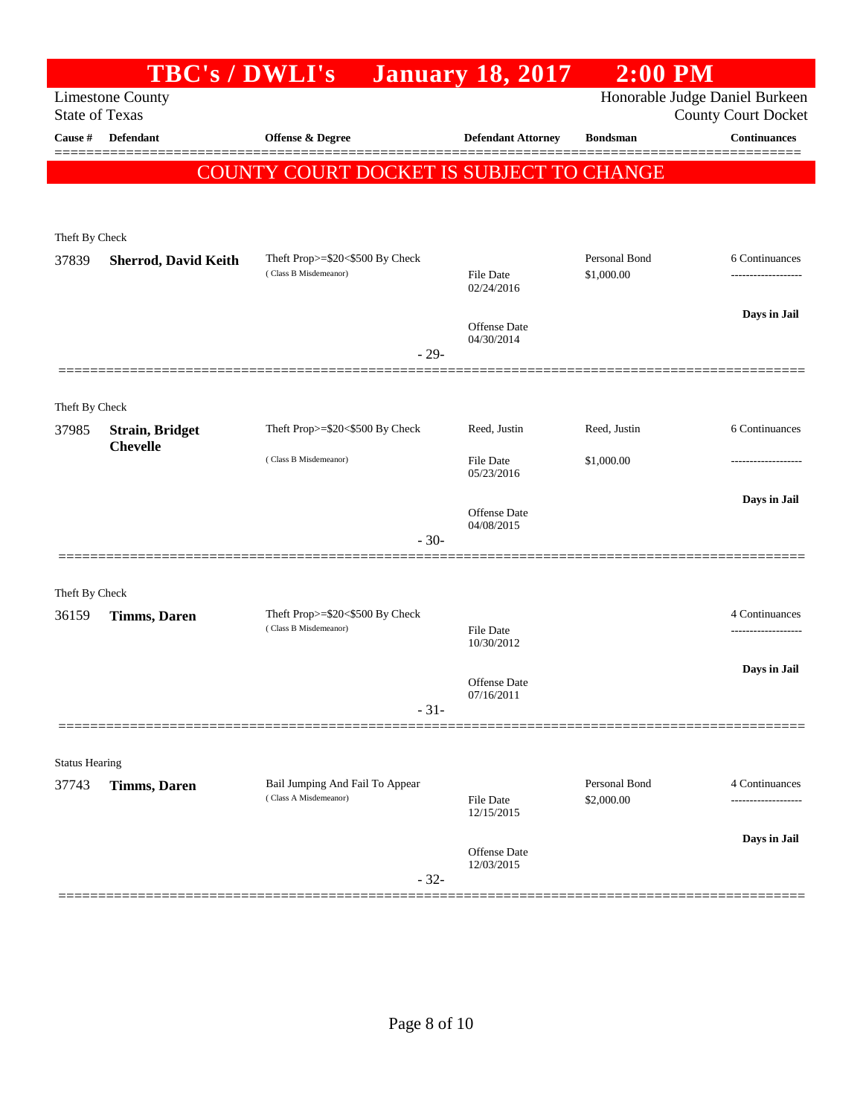|                                | <b>TBC's / DWLI's</b>       |                                                          | <b>January 18, 2017</b>    | $2:00$ PM                   |                                                              |
|--------------------------------|-----------------------------|----------------------------------------------------------|----------------------------|-----------------------------|--------------------------------------------------------------|
| <b>State of Texas</b>          | <b>Limestone County</b>     |                                                          |                            |                             | Honorable Judge Daniel Burkeen<br><b>County Court Docket</b> |
| Cause #                        | <b>Defendant</b>            | <b>Offense &amp; Degree</b>                              | <b>Defendant Attorney</b>  | <b>Bondsman</b>             | <b>Continuances</b>                                          |
|                                |                             | <b>COUNTY COURT DOCKET IS SUBJECT TO CHANGE</b>          |                            |                             |                                                              |
|                                |                             |                                                          |                            |                             |                                                              |
|                                |                             |                                                          |                            |                             |                                                              |
| Theft By Check                 |                             |                                                          |                            |                             |                                                              |
| 37839                          | <b>Sherrod, David Keith</b> | Theft Prop>=\$20<\$500 By Check<br>(Class B Misdemeanor) | File Date<br>02/24/2016    | Personal Bond<br>\$1,000.00 | 6 Continuances                                               |
|                                |                             |                                                          | Offense Date               |                             | Days in Jail                                                 |
|                                |                             | $-29-$                                                   | 04/30/2014                 |                             |                                                              |
|                                |                             |                                                          |                            |                             |                                                              |
| Theft By Check                 |                             |                                                          |                            |                             |                                                              |
| 37985                          | <b>Strain, Bridget</b>      | Theft Prop>=\$20<\$500 By Check                          | Reed, Justin               | Reed, Justin                | 6 Continuances                                               |
|                                | <b>Chevelle</b>             | (Class B Misdemeanor)                                    | File Date<br>05/23/2016    | \$1,000.00                  |                                                              |
|                                |                             |                                                          |                            |                             | Days in Jail                                                 |
|                                |                             |                                                          | Offense Date<br>04/08/2015 |                             |                                                              |
|                                |                             | $-30-$                                                   |                            |                             |                                                              |
|                                |                             |                                                          |                            |                             |                                                              |
| Theft By Check<br>36159        | <b>Timms, Daren</b>         | Theft Prop>=\$20<\$500 By Check                          |                            |                             | 4 Continuances                                               |
|                                |                             | (Class B Misdemeanor)                                    | File Date<br>10/30/2012    |                             |                                                              |
|                                |                             |                                                          |                            |                             | Days in Jail                                                 |
|                                |                             |                                                          | Offense Date<br>07/16/2011 |                             |                                                              |
|                                |                             | $-31-$                                                   |                            |                             |                                                              |
|                                |                             |                                                          |                            |                             |                                                              |
| <b>Status Hearing</b><br>37743 | <b>Timms, Daren</b>         | Bail Jumping And Fail To Appear                          |                            | Personal Bond               | 4 Continuances                                               |
|                                |                             | (Class A Misdemeanor)                                    | File Date<br>12/15/2015    | \$2,000.00                  |                                                              |
|                                |                             |                                                          | Offense Date               |                             | Days in Jail                                                 |
|                                |                             | $-32-$                                                   | 12/03/2015                 |                             |                                                              |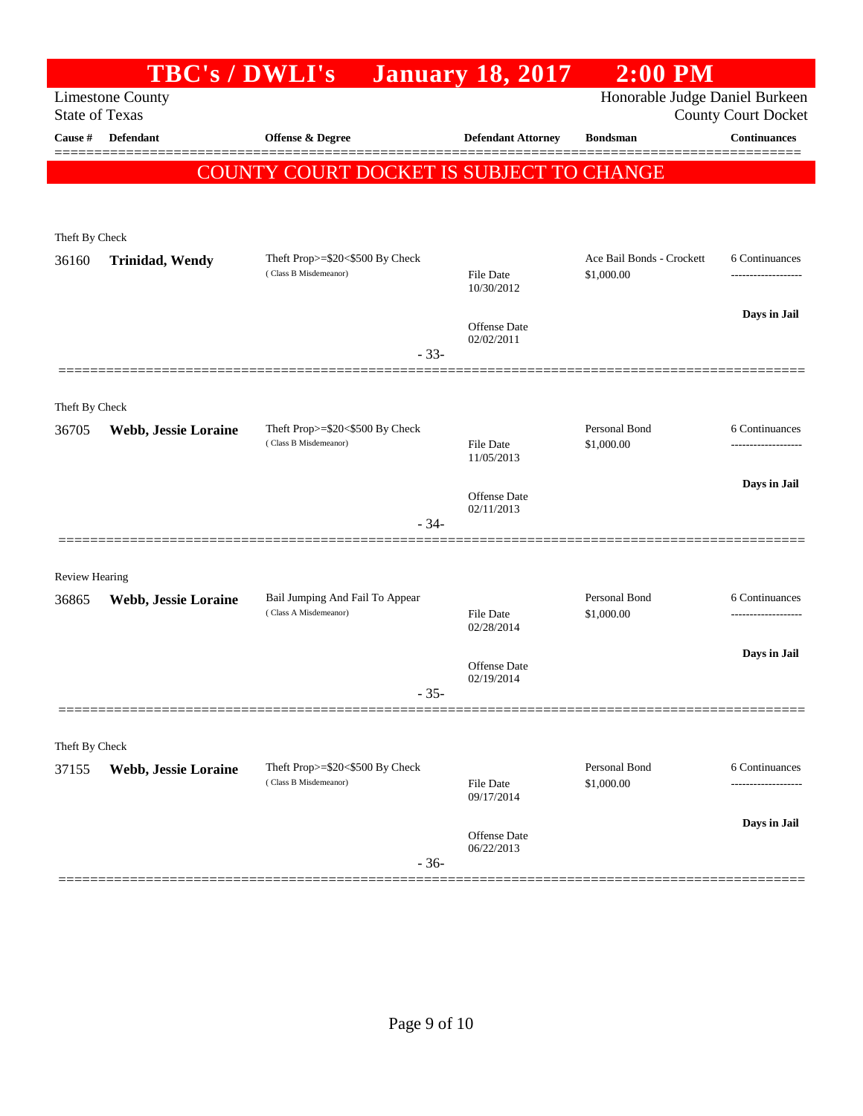|                         | <b>TBC's / DWLI's</b>                            |                                          | <b>January 18, 2017</b>           | $2:00$ PM                      |                            |
|-------------------------|--------------------------------------------------|------------------------------------------|-----------------------------------|--------------------------------|----------------------------|
|                         | <b>Limestone County</b><br><b>State of Texas</b> |                                          |                                   | Honorable Judge Daniel Burkeen | <b>County Court Docket</b> |
| Cause #                 | Defendant                                        | Offense & Degree                         | <b>Defendant Attorney</b>         | <b>Bondsman</b>                | <b>Continuances</b>        |
|                         |                                                  | COUNTY COURT DOCKET IS SUBJECT TO CHANGE |                                   |                                |                            |
|                         |                                                  |                                          |                                   |                                |                            |
|                         |                                                  |                                          |                                   |                                |                            |
| Theft By Check<br>36160 | <b>Trinidad</b> , Wendy                          | Theft Prop>=\$20<\$500 By Check          |                                   | Ace Bail Bonds - Crockett      | 6 Continuances             |
|                         |                                                  | (Class B Misdemeanor)                    | <b>File Date</b><br>10/30/2012    | \$1,000.00                     |                            |
|                         |                                                  |                                          |                                   |                                | Days in Jail               |
|                         |                                                  |                                          | <b>Offense Date</b><br>02/02/2011 |                                |                            |
|                         |                                                  | $-33-$                                   |                                   |                                |                            |
| Theft By Check          |                                                  |                                          |                                   |                                |                            |
| 36705                   | Webb, Jessie Loraine                             | Theft Prop>=\$20<\$500 By Check          |                                   | Personal Bond                  | 6 Continuances             |
|                         |                                                  | (Class B Misdemeanor)                    | <b>File Date</b><br>11/05/2013    | \$1,000.00                     | ------------------         |
|                         |                                                  |                                          |                                   |                                | Days in Jail               |
|                         |                                                  |                                          | <b>Offense Date</b><br>02/11/2013 |                                |                            |
|                         |                                                  | $-34-$                                   |                                   |                                |                            |
| <b>Review Hearing</b>   |                                                  |                                          |                                   |                                |                            |
| 36865                   | Webb, Jessie Loraine                             | Bail Jumping And Fail To Appear          |                                   | Personal Bond                  | 6 Continuances             |
|                         |                                                  | (Class A Misdemeanor)                    | <b>File Date</b><br>02/28/2014    | \$1,000.00                     | -------------------        |
|                         |                                                  |                                          |                                   |                                | Days in Jail               |
|                         |                                                  | $-35-$                                   | Offense Date<br>02/19/2014        |                                |                            |
|                         |                                                  |                                          |                                   |                                |                            |
| Theft By Check          |                                                  |                                          |                                   |                                |                            |
| 37155                   | Webb, Jessie Loraine                             | Theft Prop>=\$20<\$500 By Check          |                                   | Personal Bond                  | 6 Continuances             |
|                         |                                                  | (Class B Misdemeanor)                    | <b>File Date</b><br>09/17/2014    | \$1,000.00                     |                            |
|                         |                                                  |                                          |                                   |                                | Days in Jail               |
|                         |                                                  |                                          | Offense Date<br>06/22/2013        |                                |                            |
|                         |                                                  | $-36-$                                   |                                   |                                |                            |